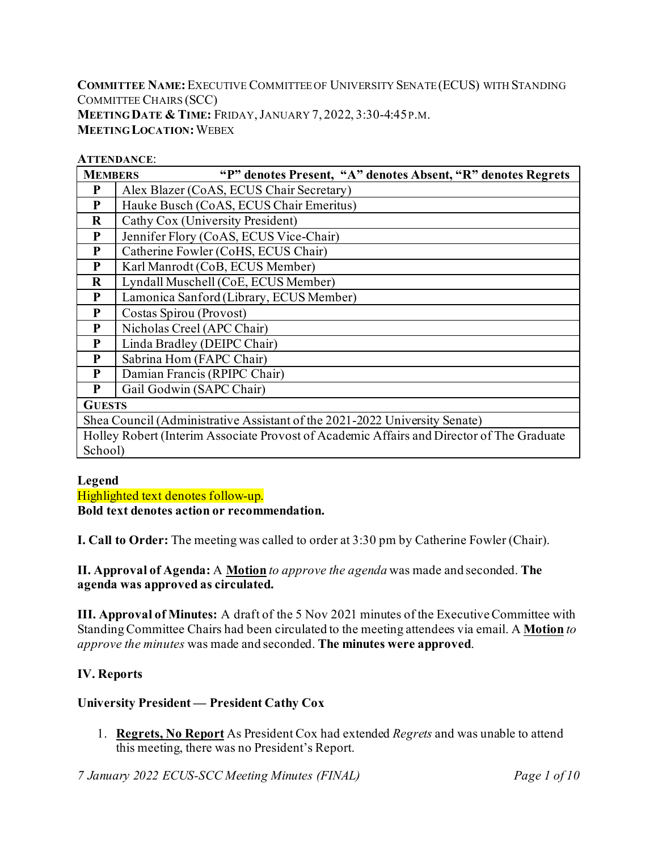**COMMITTEE NAME:**EXECUTIVE COMMITTEE OF UNIVERSITY SENATE (ECUS) WITH STANDING COMMITTEE CHAIRS (SCC) **MEETING DATE & TIME:** FRIDAY,JANUARY 7, 2022, 3:30-4:45P.M. **MEETING LOCATION:**WEBEX

#### **ATTENDANCE**:

| <b>MEMBERS</b> | "P" denotes Present, "A" denotes Absent, "R" denotes Regrets                              |  |  |  |  |  |  |  |  |  |
|----------------|-------------------------------------------------------------------------------------------|--|--|--|--|--|--|--|--|--|
| P              | Alex Blazer (CoAS, ECUS Chair Secretary)                                                  |  |  |  |  |  |  |  |  |  |
| P              | Hauke Busch (CoAS, ECUS Chair Emeritus)                                                   |  |  |  |  |  |  |  |  |  |
| $\bf R$        | Cathy Cox (University President)                                                          |  |  |  |  |  |  |  |  |  |
| P              | Jennifer Flory (CoAS, ECUS Vice-Chair)                                                    |  |  |  |  |  |  |  |  |  |
| P              | Catherine Fowler (CoHS, ECUS Chair)                                                       |  |  |  |  |  |  |  |  |  |
| P              | Karl Manrodt (CoB, ECUS Member)                                                           |  |  |  |  |  |  |  |  |  |
| $\bf R$        | Lyndall Muschell (CoE, ECUS Member)                                                       |  |  |  |  |  |  |  |  |  |
| P              | Lamonica Sanford (Library, ECUS Member)                                                   |  |  |  |  |  |  |  |  |  |
| P              | Costas Spirou (Provost)                                                                   |  |  |  |  |  |  |  |  |  |
| P              | Nicholas Creel (APC Chair)                                                                |  |  |  |  |  |  |  |  |  |
| P              | Linda Bradley (DEIPC Chair)                                                               |  |  |  |  |  |  |  |  |  |
| P              | Sabrina Hom (FAPC Chair)                                                                  |  |  |  |  |  |  |  |  |  |
| P              | Damian Francis (RPIPC Chair)                                                              |  |  |  |  |  |  |  |  |  |
| P              | Gail Godwin (SAPC Chair)                                                                  |  |  |  |  |  |  |  |  |  |
| <b>GUESTS</b>  |                                                                                           |  |  |  |  |  |  |  |  |  |
|                | Shea Council (Administrative Assistant of the 2021-2022 University Senate)                |  |  |  |  |  |  |  |  |  |
|                | Holley Robert (Interim Associate Provost of Academic Affairs and Director of The Graduate |  |  |  |  |  |  |  |  |  |
| School)        |                                                                                           |  |  |  |  |  |  |  |  |  |

#### **Legend**

Highlighted text denotes follow-up.

**Bold text denotes action or recommendation.**

**I. Call to Order:** The meeting was called to order at 3:30 pm by Catherine Fowler (Chair).

**II. Approval of Agenda:** A **Motion** *to approve the agenda* was made and seconded. **The agenda was approved as circulated.**

**III. Approval of Minutes:** A draft of the 5 Nov 2021 minutes of the Executive Committee with Standing Committee Chairs had been circulated to the meeting attendees via email. A **Motion** *to approve the minutes* was made and seconded. **The minutes were approved**.

#### **IV. Reports**

#### **University President — President Cathy Cox**

1. **Regrets, No Report** As President Cox had extended *Regrets* and was unable to attend this meeting, there was no President's Report.

*7 January 2022 ECUS-SCC Meeting Minutes (FINAL) Page 1 of 10*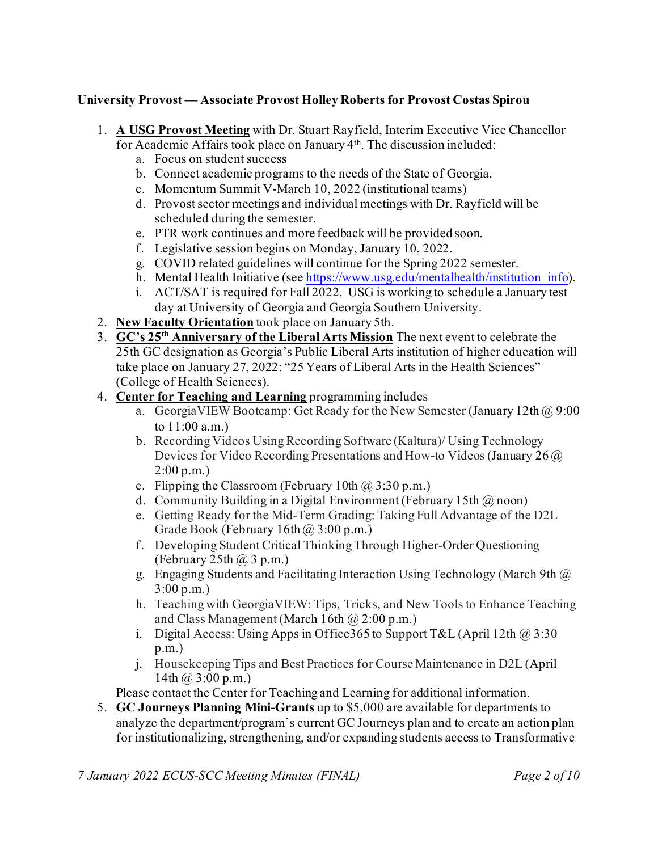#### **University Provost — Associate Provost Holley Roberts for Provost Costas Spirou**

- 1. **A USG Provost Meeting** with Dr. Stuart Rayfield, Interim Executive Vice Chancellor for Academic Affairs took place on January 4th. The discussion included:
	- a. Focus on student success
	- b. Connect academic programs to the needs of the State of Georgia.
	- c. Momentum Summit V-March 10, 2022 (institutional teams)
	- d. Provost sector meetings and individual meetings with Dr. Rayfield will be scheduled during the semester.
	- e. PTR work continues and more feedback will be provided soon.
	- f. Legislative session begins on Monday, January 10, 2022.
	- g. COVID related guidelines will continue for the Spring 2022 semester.
	- h. Mental Health Initiative (see https://www.usg.edu/mentalhealth/institution info).
	- i. ACT/SAT is required for Fall 2022. USG is working to schedule a January test day at University of Georgia and Georgia Southern University.
- 2. **New Faculty Orientation** took place on January 5th.
- 3. **GC's 25th Anniversary of the Liberal Arts Mission** The next event to celebrate the 25th GC designation as Georgia's Public Liberal Arts institution of higher education will take place on January 27, 2022: "25 Years of Liberal Arts in the Health Sciences" (College of Health Sciences).
- 4. **Center for Teaching and Learning** programming includes
	- a. Georgia VIEW Bootcamp: Get Ready for the New Semester (January 12th  $\omega$  9:00) to 11:00 a.m.)
	- b. Recording Videos Using Recording Software (Kaltura)/ Using Technology Devices for Video Recording Presentations and How-to Videos (January 26 @ 2:00 p.m.)
	- c. Flipping the Classroom (February 10th  $\omega$  3:30 p.m.)
	- d. Community Building in a Digital Environment (February 15th  $(\overline{a})$  noon)
	- e. Getting Ready for the Mid-Term Grading: Taking Full Advantage of the D2L Grade Book (February  $16th$   $\omega$  3:00 p.m.)
	- f. Developing Student Critical Thinking Through Higher-Order Questioning (February 25th  $\omega$  3 p.m.)
	- g. Engaging Students and Facilitating Interaction Using Technology (March 9th  $\omega$ ) 3:00 p.m.)
	- h. Teaching with GeorgiaVIEW: Tips, Tricks, and New Tools to Enhance Teaching and Class Management (March 16th  $\omega$  2:00 p.m.)
	- i. Digital Access: Using Apps in Office  $365$  to Support T&L (April 12th  $\omega$ , 3:30) p.m.)
	- j. Housekeeping Tips and Best Practices for Course Maintenance in D2L (April 14th  $\omega$  3:00 p.m.)
	- Please contact the Center for Teaching and Learning for additional information.
- 5. **GC Journeys Planning Mini-Grants** up to \$5,000 are available for departments to analyze the department/program's current GC Journeys plan and to create an action plan for institutionalizing, strengthening, and/or expanding students access to Transformative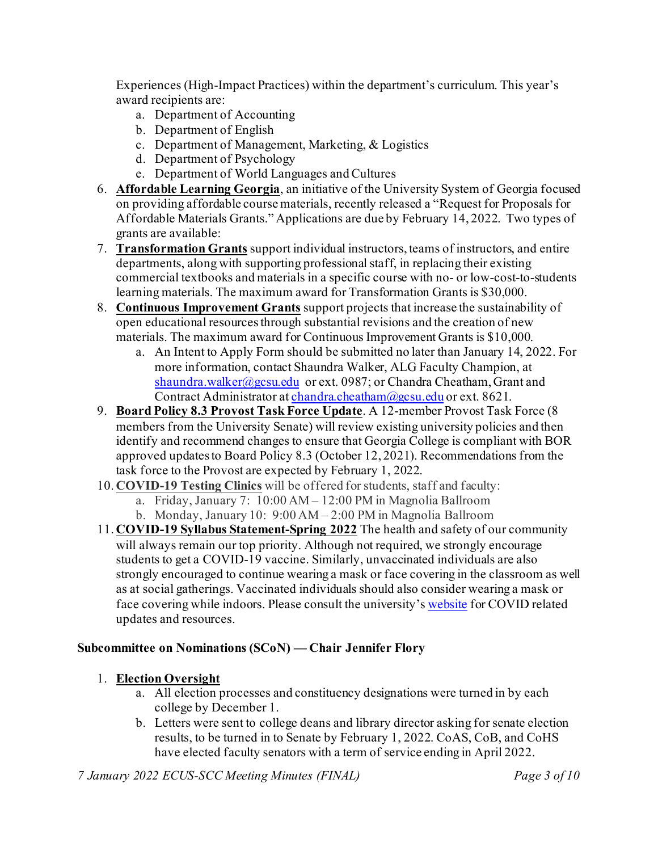Experiences (High-Impact Practices) within the department's curriculum. This year's award recipients are:

- a. Department of Accounting
- b. Department of English
- c. Department of Management, Marketing, & Logistics
- d. Department of Psychology
- e. Department of World Languages and Cultures
- 6. **Affordable Learning Georgia**, an initiative of the University System of Georgia focused on providing affordable course materials, recently released a "Request for Proposals for Affordable Materials Grants." Applications are due by February 14, 2022. Two types of grants are available:
- 7. **Transformation Grants** support individual instructors, teams of instructors, and entire departments, along with supporting professional staff, in replacing their existing commercial textbooks and materials in a specific course with no- or low-cost-to-students learning materials. The maximum award for Transformation Grants is \$30,000.
- 8. **Continuous Improvement Grants** support projects that increase the sustainability of open educational resources through substantial revisions and the creation of new materials. The maximum award for Continuous Improvement Grants is \$10,000.
	- a. An Intent to Apply Form should be submitted no later than January 14, 2022. For more information, contact Shaundra Walker, ALG Faculty Champion, at [shaundra.walker@gcsu.edu](mailto:shaundra.walker@gcsu.edu) or ext. 0987; or Chandra Cheatham, Grant and Contract Administrator a[t chandra.cheatham@gcsu.edu](mailto:chandra.cheatham@gcsu.edu) or ext. 8621.
- 9. **Board Policy 8.3 Provost Task Force Update**. A 12-member Provost Task Force (8 members from the University Senate) will review existing university policies and then identify and recommend changes to ensure that Georgia College is compliant with BOR approved updates to Board Policy 8.3 (October 12, 2021). Recommendations from the task force to the Provost are expected by February 1, 2022.
- 10. **COVID-19 Testing Clinics** will be offered for students, staff and faculty:
	- a. Friday, January 7: 10:00 AM 12:00 PM in Magnolia Ballroom
	- b. Monday, January 10: 9:00 AM 2:00 PM in Magnolia Ballroom
- 11. **COVID-19 Syllabus Statement-Spring 2022** The health and safety of our community will always remain our top priority. Although not required, we strongly encourage students to get a COVID-19 vaccine. Similarly, unvaccinated individuals are also strongly encouraged to continue wearing a mask or face covering in the classroom as well as at social gatherings. Vaccinated individuals should also consider wearing a mask or face covering while indoors. Please consult the university'[s website](https://nam11.safelinks.protection.outlook.com/?url=https%3A%2F%2Fwww.gcsu.edu%2Fcovid19&data=04%7C01%7Ccostas.spirou%40gcsu.edu%7C303fd1d1c73c485bd44508d9d1615c8a%7Cbfd29cfa8e7142e69abc953a6d6f07d6%7C0%7C0%7C637771038360457371%7CUnknown%7CTWFpbGZsb3d8eyJWIjoiMC4wLjAwMDAiLCJQIjoiV2luMzIiLCJBTiI6Ik1haWwiLCJXVCI6Mn0%3D%7C3000&sdata=naeTE1GHNtDSpmD8WbMfawoeq3cYRffeUEkf%2FSXgYZQ%3D&reserved=0) for COVID related updates and resources.

### **Subcommittee on Nominations (SCoN) — Chair Jennifer Flory**

### 1. **Election Oversight**

- a. All election processes and constituency designations were turned in by each college by December 1.
- b. Letters were sent to college deans and library director asking for senate election results, to be turned in to Senate by February 1, 2022. CoAS, CoB, and CoHS have elected faculty senators with a term of service ending in April 2022.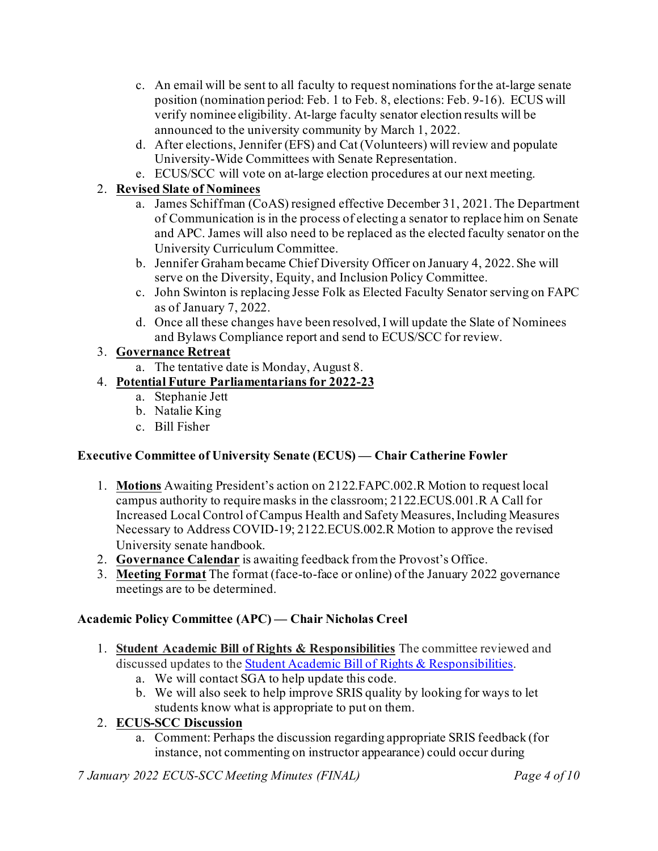- c. An email will be sent to all faculty to request nominations for the at-large senate position (nomination period: Feb. 1 to Feb. 8, elections: Feb. 9-16). ECUS will verify nominee eligibility. At-large faculty senator election results will be announced to the university community by March 1, 2022.
- d. After elections, Jennifer (EFS) and Cat (Volunteers) will review and populate University-Wide Committees with Senate Representation.
- e. ECUS/SCC will vote on at-large election procedures at our next meeting.

### 2. **Revised Slate of Nominees**

- a. James Schiffman (CoAS) resigned effective December 31, 2021. The Department of Communication is in the process of electing a senator to replace him on Senate and APC. James will also need to be replaced as the elected faculty senator on the University Curriculum Committee.
- b. Jennifer Graham became Chief Diversity Officer on January 4, 2022. She will serve on the Diversity, Equity, and Inclusion Policy Committee.
- c. John Swinton is replacing Jesse Folk as Elected Faculty Senator serving on FAPC as of January 7, 2022.
- d. Once all these changes have been resolved, I will update the Slate of Nominees and Bylaws Compliance report and send to ECUS/SCC for review.

### 3. **Governance Retreat**

a. The tentative date is Monday, August 8.

# 4. **Potential Future Parliamentarians for 2022-23**

- a. Stephanie Jett
- b. Natalie King
- c. Bill Fisher

# **Executive Committee of University Senate (ECUS) — Chair Catherine Fowler**

- 1. **Motions** Awaiting President's action on 2122.FAPC.002.R Motion to request local campus authority to require masks in the classroom; 2122.ECUS.001.R A Call for Increased Local Control of Campus Health and Safety Measures, Including Measures Necessary to Address COVID-19; 2122.ECUS.002.R Motion to approve the revised University senate handbook.
- 2. **Governance Calendar** is awaiting feedback from the Provost's Office.
- 3. **Meeting Format** The format (face-to-face or online) of the January 2022 governance meetings are to be determined.

# **Academic Policy Committee (APC) — Chair Nicholas Creel**

- 1. **Student Academic Bill of Rights & Responsibilities** The committee reviewed and discussed updates to the Student Academic Bill of Rights & [Responsibilities.](https://www.gcsu.edu/studentlife/student-handbook)
	- a. We will contact SGA to help update this code.
	- b. We will also seek to help improve SRIS quality by looking for ways to let students know what is appropriate to put on them.

### 2. **ECUS-SCC Discussion**

a. Comment: Perhaps the discussion regarding appropriate SRIS feedback (for instance, not commenting on instructor appearance) could occur during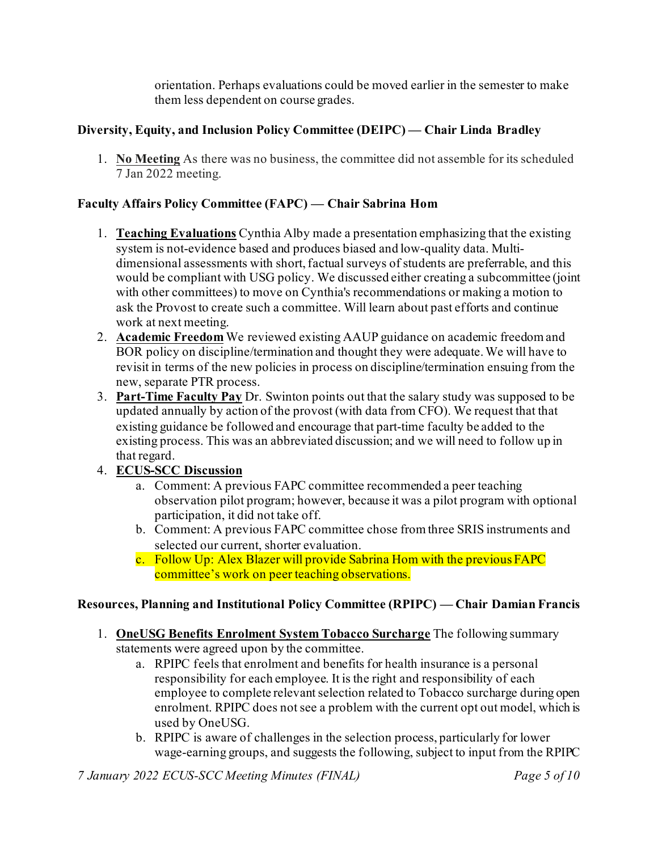orientation. Perhaps evaluations could be moved earlier in the semester to make them less dependent on course grades.

### **Diversity, Equity, and Inclusion Policy Committee (DEIPC) — Chair Linda Bradley**

1. **No Meeting** As there was no business, the committee did not assemble for its scheduled 7 Jan 2022 meeting.

### **Faculty Affairs Policy Committee (FAPC) — Chair Sabrina Hom**

- 1. **Teaching Evaluations** Cynthia Alby made a presentation emphasizing that the existing system is not-evidence based and produces biased and low-quality data. Multidimensional assessments with short, factual surveys of students are preferrable, and this would be compliant with USG policy. We discussed either creating a subcommittee (joint with other committees) to move on Cynthia's recommendations or making a motion to ask the Provost to create such a committee. Will learn about past efforts and continue work at next meeting.
- 2. **Academic Freedom** We reviewed existing AAUP guidance on academic freedom and BOR policy on discipline/termination and thought they were adequate. We will have to revisit in terms of the new policies in process on discipline/termination ensuing from the new, separate PTR process.
- 3. **Part-Time Faculty Pay** Dr. Swinton points out that the salary study was supposed to be updated annually by action of the provost (with data from CFO). We request that that existing guidance be followed and encourage that part-time faculty be added to the existing process. This was an abbreviated discussion; and we will need to follow up in that regard.
- 4. **ECUS-SCC Discussion**
	- a. Comment: A previous FAPC committee recommended a peer teaching observation pilot program; however, because it was a pilot program with optional participation, it did not take off.
	- b. Comment: A previous FAPC committee chose from three SRIS instruments and selected our current, shorter evaluation.
	- c. Follow Up: Alex Blazer will provide Sabrina Hom with the previous FAPC committee's work on peer teaching observations.

### **Resources, Planning and Institutional Policy Committee (RPIPC) — Chair Damian Francis**

- 1. **OneUSG Benefits Enrolment System Tobacco Surcharge** The following summary statements were agreed upon by the committee.
	- a. RPIPC feels that enrolment and benefits for health insurance is a personal responsibility for each employee. It is the right and responsibility of each employee to complete relevant selection related to Tobacco surcharge during open enrolment. RPIPC does not see a problem with the current opt out model, which is used by OneUSG.
	- b. RPIPC is aware of challenges in the selection process, particularly for lower wage-earning groups, and suggests the following, subject to input from the RPIPC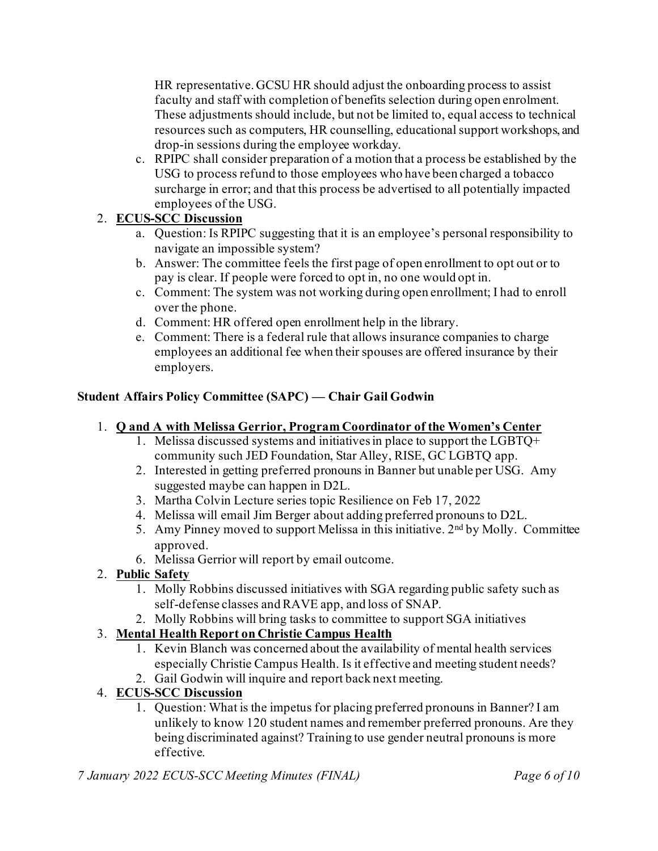HR representative. GCSU HR should adjust the onboarding process to assist faculty and staff with completion of benefits selection during open enrolment. These adjustments should include, but not be limited to, equal access to technical resources such as computers, HR counselling, educational support workshops, and drop-in sessions during the employee workday.

c. RPIPC shall consider preparation of a motion that a process be established by the USG to process refund to those employees who have been charged a tobacco surcharge in error; and that this process be advertised to all potentially impacted employees of the USG.

# 2. **ECUS-SCC Discussion**

- a. Question: Is RPIPC suggesting that it is an employee's personal responsibility to navigate an impossible system?
- b. Answer: The committee feels the first page of open enrollment to opt out or to pay is clear. If people were forced to opt in, no one would opt in.
- c. Comment: The system was not working during open enrollment; I had to enroll over the phone.
- d. Comment: HR offered open enrollment help in the library.
- e. Comment: There is a federal rule that allows insurance companies to charge employees an additional fee when their spouses are offered insurance by their employers.

# **Student Affairs Policy Committee (SAPC) — Chair Gail Godwin**

# 1. **Q and A with Melissa Gerrior, Program Coordinator of the Women's Center**

- 1. Melissa discussed systems and initiatives in place to support the LGBTQ+ community such JED Foundation, Star Alley, RISE, GC LGBTQ app.
- 2. Interested in getting preferred pronouns in Banner but unable per USG. Amy suggested maybe can happen in D2L.
- 3. Martha Colvin Lecture series topic Resilience on Feb 17, 2022
- 4. Melissa will email Jim Berger about adding preferred pronouns to D2L.
- 5. Amy Pinney moved to support Melissa in this initiative. 2<sup>nd</sup> by Molly. Committee approved.
- 6. Melissa Gerrior will report by email outcome.
- 2. **Public Safety**
	- 1. Molly Robbins discussed initiatives with SGA regarding public safety such as self-defense classes and RAVE app, and loss of SNAP.
	- 2. Molly Robbins will bring tasks to committee to support SGA initiatives

# 3. **Mental Health Report on Christie Campus Health**

- 1. Kevin Blanch was concerned about the availability of mental health services especially Christie Campus Health. Is it effective and meeting student needs?
- 2. Gail Godwin will inquire and report back next meeting.

# 4. **ECUS-SCC Discussion**

1. Question: What is the impetus for placing preferred pronouns in Banner? I am unlikely to know 120 student names and remember preferred pronouns. Are they being discriminated against? Training to use gender neutral pronouns is more effective.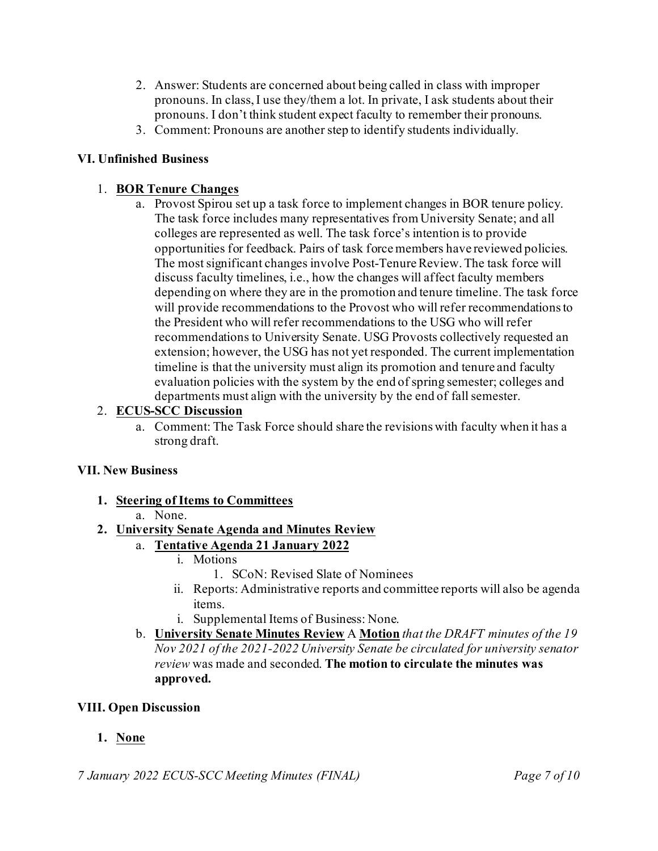- 2. Answer: Students are concerned about being called in class with improper pronouns. In class, I use they/them a lot. In private, I ask students about their pronouns. I don't think student expect faculty to remember their pronouns.
- 3. Comment: Pronouns are another step to identify students individually.

### **VI. Unfinished Business**

### 1. **BOR Tenure Changes**

a. Provost Spirou set up a task force to implement changes in BOR tenure policy. The task force includes many representatives from University Senate; and all colleges are represented as well. The task force's intention is to provide opportunities for feedback. Pairs of task force members have reviewed policies. The most significant changes involve Post-Tenure Review. The task force will discuss faculty timelines, i.e., how the changes will affect faculty members depending on where they are in the promotion and tenure timeline. The task force will provide recommendations to the Provost who will refer recommendations to the President who will refer recommendations to the USG who will refer recommendations to University Senate. USG Provosts collectively requested an extension; however, the USG has not yet responded. The current implementation timeline is that the university must align its promotion and tenure and faculty evaluation policies with the system by the end of spring semester; colleges and departments must align with the university by the end of fall semester.

### 2. **ECUS-SCC Discussion**

a. Comment: The Task Force should share the revisions with faculty when it has a strong draft.

### **VII. New Business**

**1. Steering of Items to Committees**

### a. None.

# **2. University Senate Agenda and Minutes Review**

- a. **Tentative Agenda 21 January 2022**
	- i. Motions
		- 1. SCoN: Revised Slate of Nominees
	- ii. Reports: Administrative reports and committee reports will also be agenda items.
	- i. Supplemental Items of Business: None.
- b. **University Senate Minutes Review** A **Motion** *that the DRAFT minutes of the 19 Nov 2021 of the 2021-2022 University Senate be circulated for university senator review* was made and seconded. **The motion to circulate the minutes was approved.**

### **VIII. Open Discussion**

# **1. None**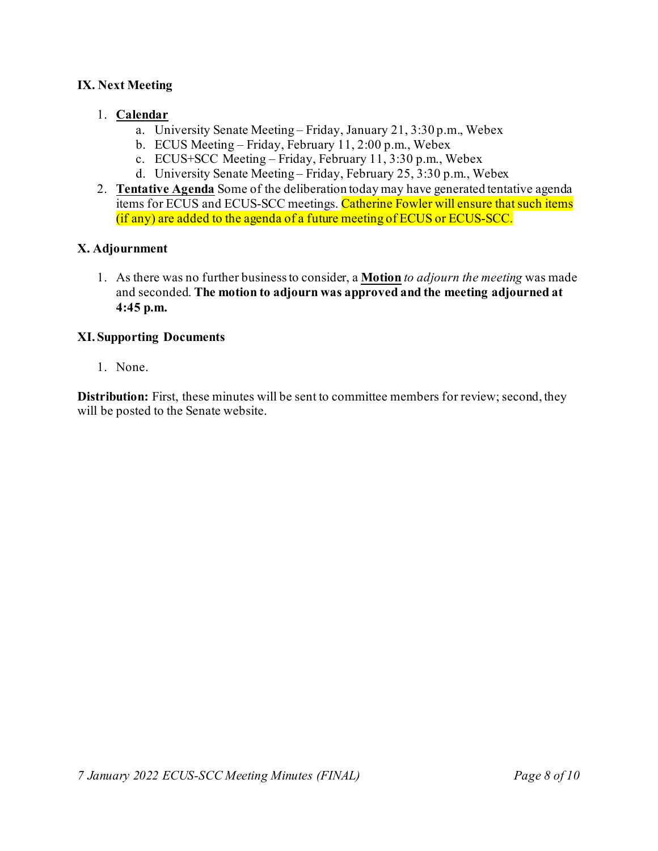#### **IX. Next Meeting**

#### 1. **Calendar**

- a. University Senate Meeting Friday, January 21, 3:30 p.m., Webex
- b. ECUS Meeting Friday, February 11, 2:00 p.m., Webex
- c. ECUS+SCC Meeting Friday, February 11, 3:30 p.m., Webex
- d. University Senate Meeting Friday, February 25, 3:30 p.m., Webex
- 2. **Tentative Agenda** Some of the deliberation today may have generated tentative agenda items for ECUS and ECUS-SCC meetings. Catherine Fowler will ensure that such items (if any) are added to the agenda of a future meeting of ECUS or ECUS-SCC.

#### **X. Adjournment**

1. As there was no further business to consider, a **Motion** *to adjourn the meeting* was made and seconded. **The motion to adjourn was approved and the meeting adjourned at 4:45 p.m.**

#### **XI. Supporting Documents**

1. None.

**Distribution:** First, these minutes will be sent to committee members for review; second, they will be posted to the Senate website.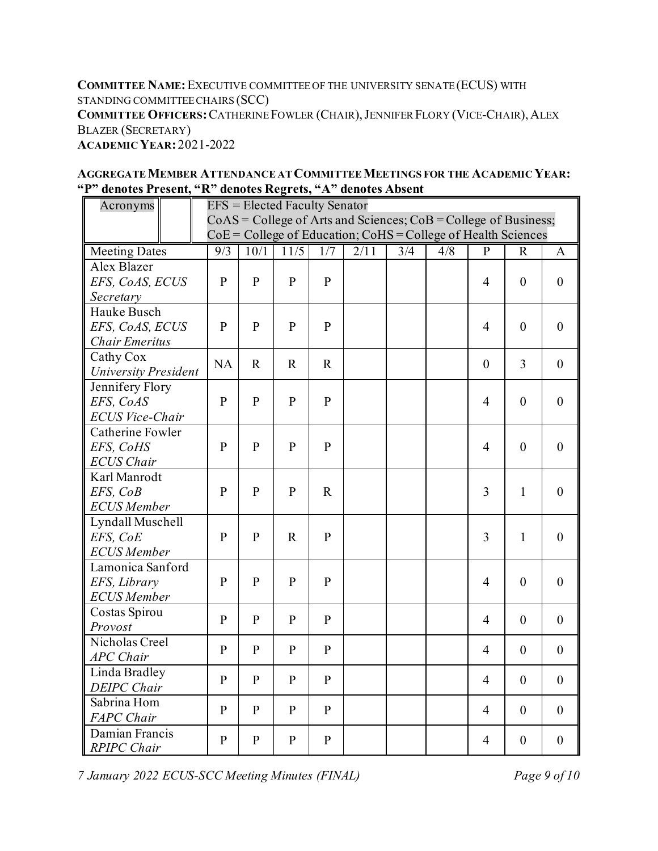**COMMITTEE NAME:**EXECUTIVE COMMITTEE OF THE UNIVERSITY SENATE (ECUS) WITH STANDING COMMITTEE CHAIRS (SCC) **COMMITTEE OFFICERS:**CATHERINE FOWLER (CHAIR),JENNIFER FLORY (VICE-CHAIR), ALEX BLAZER (SECRETARY) **ACADEMIC YEAR:** 2021-2022

| Acronyms                                                            | <b>EFS</b> = Elected Faculty Senator |              |                   |              |      |     |     |                  |                  |                  |
|---------------------------------------------------------------------|--------------------------------------|--------------|-------------------|--------------|------|-----|-----|------------------|------------------|------------------|
| $CoAS = College$ of Arts and Sciences; $CoB = College$ of Business; |                                      |              |                   |              |      |     |     |                  |                  |                  |
| $CoE = College$ of Education; $CoHS = College$ of Health Sciences   |                                      |              |                   |              |      |     |     |                  |                  |                  |
| <b>Meeting Dates</b>                                                | 9/3                                  | 10/1         | $\overline{11/5}$ | 1/7          | 2/11 | 3/4 | 4/8 | $\overline{P}$   | $\mathbf R$      | A                |
| <b>Alex Blazer</b>                                                  |                                      |              |                   |              |      |     |     |                  |                  |                  |
| EFS, CoAS, ECUS                                                     | $\mathbf{P}$                         | $\mathbf{P}$ | $\mathbf{P}$      | $\mathbf{P}$ |      |     |     | $\overline{4}$   | $\overline{0}$   | $\overline{0}$   |
| Secretary                                                           |                                      |              |                   |              |      |     |     |                  |                  |                  |
| Hauke Busch                                                         |                                      |              |                   |              |      |     |     |                  |                  |                  |
| EFS, CoAS, ECUS                                                     | $\mathbf{P}$                         | $\mathbf{P}$ | $\mathbf{P}$      | $\mathbf{P}$ |      |     |     | $\overline{4}$   | $\overline{0}$   | $\mathbf{0}$     |
| <b>Chair Emeritus</b>                                               |                                      |              |                   |              |      |     |     |                  |                  |                  |
| Cathy Cox                                                           | NA                                   | $\mathbf R$  | $\mathbf R$       | $\mathbf R$  |      |     |     | $\boldsymbol{0}$ | $\overline{3}$   | $\boldsymbol{0}$ |
| <b>University President</b>                                         |                                      |              |                   |              |      |     |     |                  |                  |                  |
| Jennifery Flory                                                     |                                      |              |                   |              |      |     |     | $\overline{4}$   | $\boldsymbol{0}$ | $\boldsymbol{0}$ |
| EFS, CoAS                                                           | $\mathbf{P}$                         | ${\bf P}$    | $\mathbf{P}$      | $\mathbf{P}$ |      |     |     |                  |                  |                  |
| <b>ECUS Vice-Chair</b>                                              |                                      |              |                   |              |      |     |     |                  |                  |                  |
| Catherine Fowler                                                    |                                      |              |                   |              |      |     |     |                  |                  |                  |
| EFS, CoHS                                                           | $\mathbf{P}$                         | ${\bf P}$    | $\mathbf{P}$      | $\mathbf{P}$ |      |     |     | $\overline{4}$   | $\boldsymbol{0}$ | $\boldsymbol{0}$ |
| <b>ECUS</b> Chair                                                   |                                      |              |                   |              |      |     |     |                  |                  |                  |
| Karl Manrodt                                                        |                                      |              |                   |              |      |     |     |                  |                  |                  |
| EFS, CoB                                                            | $\mathbf{P}$                         | $\mathbf{P}$ | $\mathbf{P}$      | $\mathbf R$  |      |     |     | $\overline{3}$   | $\mathbf{1}$     | $\mathbf{0}$     |
| <b>ECUS</b> Member                                                  |                                      |              |                   |              |      |     |     |                  |                  |                  |
| Lyndall Muschell                                                    |                                      |              |                   |              |      |     |     |                  |                  |                  |
| EFS, CoE                                                            | $\mathbf{P}$                         | $\mathbf{P}$ | $\mathbf R$       | $\mathbf{P}$ |      |     |     | 3                | $\mathbf{1}$     | $\boldsymbol{0}$ |
| <b>ECUS</b> Member                                                  |                                      |              |                   |              |      |     |     |                  |                  |                  |
| Lamonica Sanford                                                    |                                      |              |                   |              |      |     |     |                  |                  |                  |
| EFS, Library                                                        | $\mathbf{P}$                         | ${\bf P}$    | $\mathbf{P}$      | $\mathbf{P}$ |      |     |     | $\overline{4}$   | $\boldsymbol{0}$ | $\boldsymbol{0}$ |
| <b>ECUS</b> Member                                                  |                                      |              |                   |              |      |     |     |                  |                  |                  |
| Costas Spirou                                                       | $\mathbf{P}$                         | $\mathbf{P}$ | $\mathbf{P}$      | $\mathbf{P}$ |      |     |     | $\overline{4}$   | $\mathbf{0}$     | $\mathbf{0}$     |
| Provost                                                             |                                      |              |                   |              |      |     |     |                  |                  |                  |
| Nicholas Creel                                                      | $\mathbf{P}$                         | $\mathbf{P}$ | $\mathbf{P}$      | $\mathbf{P}$ |      |     |     | $\overline{4}$   | $\theta$         | $\overline{0}$   |
| <b>APC</b> Chair                                                    |                                      |              |                   |              |      |     |     |                  |                  |                  |
| Linda Bradley                                                       | $\mathbf{P}$                         | $\mathbf{P}$ | $\mathbf{P}$      | $\mathbf{P}$ |      |     |     | $\overline{4}$   | $\theta$         | $\boldsymbol{0}$ |
| <b>DEIPC</b> Chair                                                  |                                      |              |                   |              |      |     |     |                  |                  |                  |
| Sabrina Hom                                                         | $\mathbf{P}$                         | $\mathbf{P}$ | $\mathbf{P}$      | $\mathbf{P}$ |      |     |     | $\overline{4}$   | $\theta$         | $\boldsymbol{0}$ |
| <b>FAPC</b> Chair                                                   |                                      |              |                   |              |      |     |     |                  |                  |                  |
| Damian Francis                                                      | $\mathbf{P}$                         | ${\bf P}$    | $\mathbf{P}$      | $\mathbf{P}$ |      |     |     | $\overline{4}$   | $\boldsymbol{0}$ | $\boldsymbol{0}$ |
| <b>RPIPC</b> Chair                                                  |                                      |              |                   |              |      |     |     |                  |                  |                  |

**AGGREGATE MEMBER ATTENDANCE AT COMMITTEE MEETINGS FOR THE ACADEMIC YEAR: "P" denotes Present, "R" denotes Regrets, "A" denotes Absent**

*7 January 2022 ECUS-SCC Meeting Minutes (FINAL) Page 9 of 10*